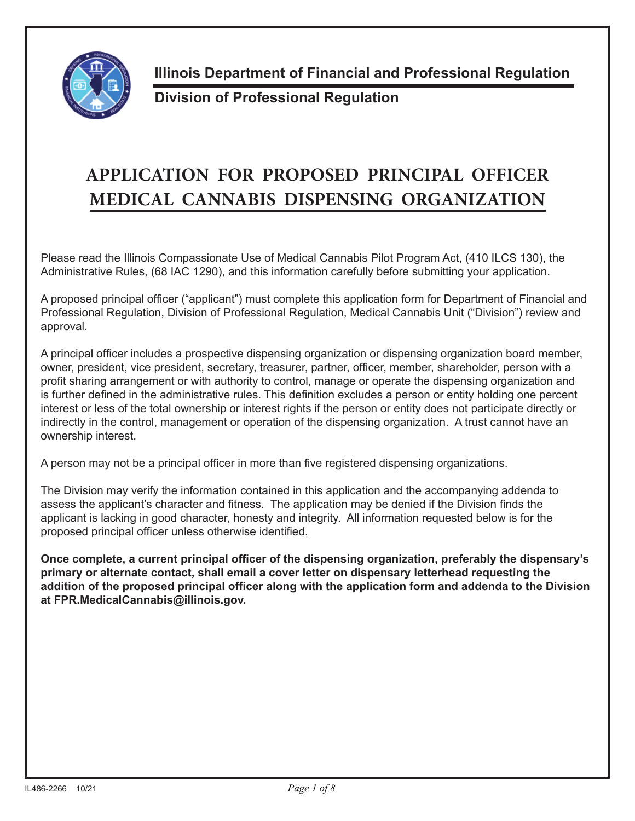

**Illinois Department of Financial and Professional Regulation**

## **Division of Professional Regulation**

## **APPLICATION FOR PROPOSED PRINCIPAL OFFICER MEDICAL CANNABIS DISPENSING ORGANIZATION**

Please read the Illinois Compassionate Use of Medical Cannabis Pilot Program Act, (410 ILCS 130), the Administrative Rules, (68 IAC 1290), and this information carefully before submitting your application.

A proposed principal officer ("applicant") must complete this application form for Department of Financial and Professional Regulation, Division of Professional Regulation, Medical Cannabis Unit ("Division") review and approval.

A principal officer includes a prospective dispensing organization or dispensing organization board member, owner, president, vice president, secretary, treasurer, partner, officer, member, shareholder, person with a profit sharing arrangement or with authority to control, manage or operate the dispensing organization and is further defined in the administrative rules. This definition excludes a person or entity holding one percent interest or less of the total ownership or interest rights if the person or entity does not participate directly or indirectly in the control, management or operation of the dispensing organization. A trust cannot have an ownership interest.

A person may not be a principal officer in more than five registered dispensing organizations.

The Division may verify the information contained in this application and the accompanying addenda to assess the applicant's character and fitness. The application may be denied if the Division finds the applicant is lacking in good character, honesty and integrity. All information requested below is for the proposed principal officer unless otherwise identified.

**Once complete, a current principal officer of the dispensing organization, preferably the dispensary's primary or alternate contact, shall email a cover letter on dispensary letterhead requesting the addition of the proposed principal officer along with the application form and addenda to the Division at FPR.MedicalCannabis@illinois.gov.**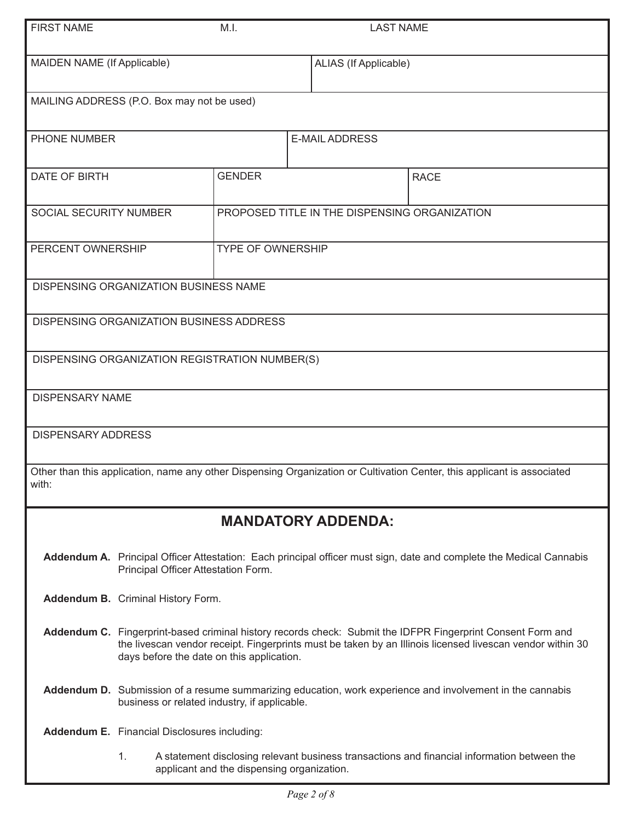| <b>FIRST NAME</b>                                                                                                                |                                                                                                                                                                                                                                                                       | M.I.                                           | <b>LAST NAME</b>                              |                                                                                             |  |
|----------------------------------------------------------------------------------------------------------------------------------|-----------------------------------------------------------------------------------------------------------------------------------------------------------------------------------------------------------------------------------------------------------------------|------------------------------------------------|-----------------------------------------------|---------------------------------------------------------------------------------------------|--|
| MAIDEN NAME (If Applicable)                                                                                                      |                                                                                                                                                                                                                                                                       |                                                | ALIAS (If Applicable)                         |                                                                                             |  |
|                                                                                                                                  |                                                                                                                                                                                                                                                                       | MAILING ADDRESS (P.O. Box may not be used)     |                                               |                                                                                             |  |
| <b>PHONE NUMBER</b>                                                                                                              |                                                                                                                                                                                                                                                                       |                                                | <b>E-MAIL ADDRESS</b>                         |                                                                                             |  |
| DATE OF BIRTH                                                                                                                    |                                                                                                                                                                                                                                                                       | <b>GENDER</b>                                  |                                               | <b>RACE</b>                                                                                 |  |
| SOCIAL SECURITY NUMBER                                                                                                           |                                                                                                                                                                                                                                                                       |                                                | PROPOSED TITLE IN THE DISPENSING ORGANIZATION |                                                                                             |  |
| PERCENT OWNERSHIP                                                                                                                |                                                                                                                                                                                                                                                                       |                                                | <b>TYPE OF OWNERSHIP</b>                      |                                                                                             |  |
|                                                                                                                                  |                                                                                                                                                                                                                                                                       | <b>DISPENSING ORGANIZATION BUSINESS NAME</b>   |                                               |                                                                                             |  |
|                                                                                                                                  |                                                                                                                                                                                                                                                                       | DISPENSING ORGANIZATION BUSINESS ADDRESS       |                                               |                                                                                             |  |
|                                                                                                                                  |                                                                                                                                                                                                                                                                       | DISPENSING ORGANIZATION REGISTRATION NUMBER(S) |                                               |                                                                                             |  |
|                                                                                                                                  | <b>DISPENSARY NAME</b>                                                                                                                                                                                                                                                |                                                |                                               |                                                                                             |  |
| <b>DISPENSARY ADDRESS</b>                                                                                                        |                                                                                                                                                                                                                                                                       |                                                |                                               |                                                                                             |  |
| Other than this application, name any other Dispensing Organization or Cultivation Center, this applicant is associated<br>with: |                                                                                                                                                                                                                                                                       |                                                |                                               |                                                                                             |  |
|                                                                                                                                  | <b>MANDATORY ADDENDA:</b>                                                                                                                                                                                                                                             |                                                |                                               |                                                                                             |  |
|                                                                                                                                  | Addendum A. Principal Officer Attestation: Each principal officer must sign, date and complete the Medical Cannabis<br>Principal Officer Attestation Form.                                                                                                            |                                                |                                               |                                                                                             |  |
|                                                                                                                                  | Addendum B. Criminal History Form.                                                                                                                                                                                                                                    |                                                |                                               |                                                                                             |  |
|                                                                                                                                  | Addendum C. Fingerprint-based criminal history records check: Submit the IDFPR Fingerprint Consent Form and<br>the livescan vendor receipt. Fingerprints must be taken by an Illinois licensed livescan vendor within 30<br>days before the date on this application. |                                                |                                               |                                                                                             |  |
|                                                                                                                                  | Addendum D. Submission of a resume summarizing education, work experience and involvement in the cannabis<br>business or related industry, if applicable.                                                                                                             |                                                |                                               |                                                                                             |  |
|                                                                                                                                  |                                                                                                                                                                                                                                                                       | Addendum E. Financial Disclosures including:   |                                               |                                                                                             |  |
|                                                                                                                                  | 1.                                                                                                                                                                                                                                                                    | applicant and the dispensing organization.     |                                               | A statement disclosing relevant business transactions and financial information between the |  |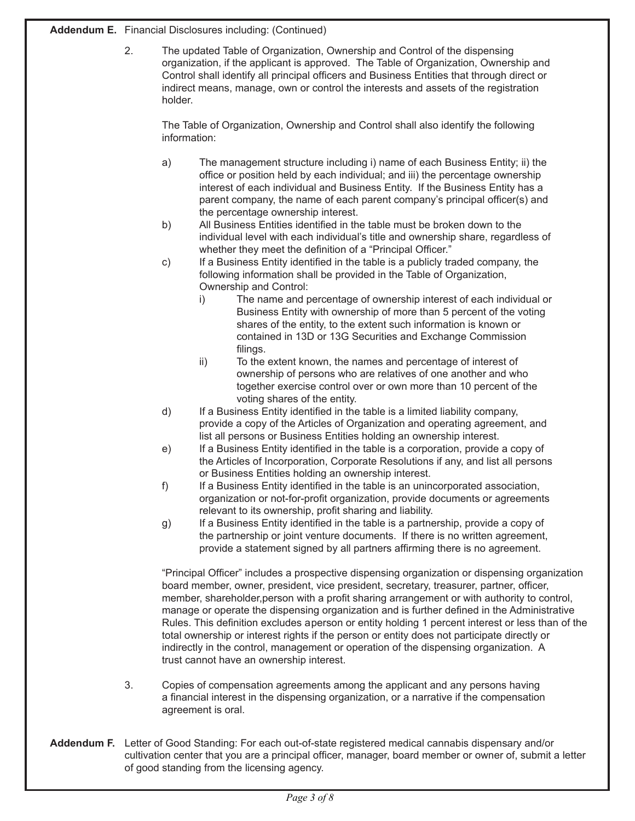**Addendum E.** Financial Disclosures including: (Continued)

 2. The updated Table of Organization, Ownership and Control of the dispensing organization, if the applicant is approved. The Table of Organization, Ownership and Control shall identify all principal officers and Business Entities that through direct or indirect means, manage, own or control the interests and assets of the registration holder.

 The Table of Organization, Ownership and Control shall also identify the following information:

- a) The management structure including i) name of each Business Entity; ii) the office or position held by each individual; and iii) the percentage ownership interest of each individual and Business Entity. If the Business Entity has a parent company, the name of each parent company's principal officer(s) and the percentage ownership interest.
- b) All Business Entities identified in the table must be broken down to the individual level with each individual's title and ownership share, regardless of whether they meet the definition of a "Principal Officer."
- c) If a Business Entity identified in the table is a publicly traded company, the following information shall be provided in the Table of Organization, Ownership and Control:
	- i) The name and percentage of ownership interest of each individual or Business Entity with ownership of more than 5 percent of the voting shares of the entity, to the extent such information is known or contained in 13D or 13G Securities and Exchange Commission filings.
	- ii) To the extent known, the names and percentage of interest of ownership of persons who are relatives of one another and who together exercise control over or own more than 10 percent of the voting shares of the entity.
- d) If a Business Entity identified in the table is a limited liability company, provide a copy of the Articles of Organization and operating agreement, and list all persons or Business Entities holding an ownership interest.
- e) If a Business Entity identified in the table is a corporation, provide a copy of the Articles of Incorporation, Corporate Resolutions if any, and list all persons or Business Entities holding an ownership interest.
- f) If a Business Entity identified in the table is an unincorporated association, organization or not-for-profit organization, provide documents or agreements relevant to its ownership, profit sharing and liability.
- g) If a Business Entity identified in the table is a partnership, provide a copy of the partnership or joint venture documents. If there is no written agreement, provide a statement signed by all partners affirming there is no agreement.

"Principal Officer" includes a prospective dispensing organization or dispensing organization board member, owner, president, vice president, secretary, treasurer, partner, officer, member, shareholder,person with a profit sharing arrangement or with authority to control, manage or operate the dispensing organization and is further defined in the Administrative Rules. This definition excludes aperson or entity holding 1 percent interest or less than of the total ownership or interest rights if the person or entity does not participate directly or indirectly in the control, management or operation of the dispensing organization. A trust cannot have an ownership interest.

- 3. Copies of compensation agreements among the applicant and any persons having a financial interest in the dispensing organization, or a narrative if the compensation agreement is oral.
- **Addendum F.** Letter of Good Standing: For each out-of-state registered medical cannabis dispensary and/or cultivation center that you are a principal officer, manager, board member or owner of, submit a letter of good standing from the licensing agency.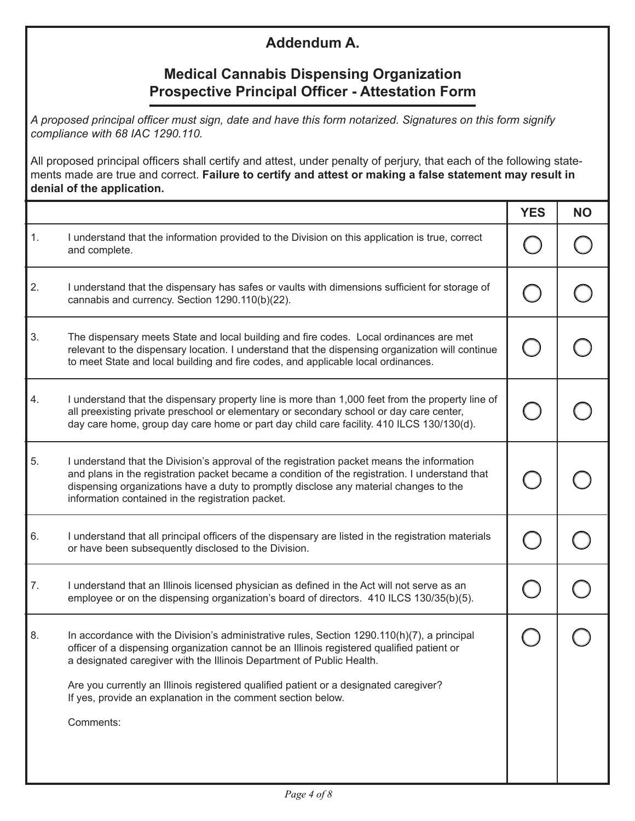## **Addendum A.**

## **Medical Cannabis Dispensing Organization Prospective Principal Officer - Attestation Form**

*A proposed principal officer must sign, date and have this form notarized. Signatures on this form signify compliance with 68 IAC 1290.110.* 

All proposed principal officers shall certify and attest, under penalty of perjury, that each of the following statements made are true and correct. **Failure to certify and attest or making a false statement may result in denial of the application.**

|    |                                                                                                                                                                                                                                                                                                                                                                                                                                             | <b>YES</b> | <b>NO</b> |
|----|---------------------------------------------------------------------------------------------------------------------------------------------------------------------------------------------------------------------------------------------------------------------------------------------------------------------------------------------------------------------------------------------------------------------------------------------|------------|-----------|
| 1. | I understand that the information provided to the Division on this application is true, correct<br>and complete.                                                                                                                                                                                                                                                                                                                            |            |           |
| 2. | I understand that the dispensary has safes or vaults with dimensions sufficient for storage of<br>cannabis and currency. Section 1290.110(b)(22).                                                                                                                                                                                                                                                                                           |            |           |
| 3. | The dispensary meets State and local building and fire codes. Local ordinances are met<br>relevant to the dispensary location. I understand that the dispensing organization will continue<br>to meet State and local building and fire codes, and applicable local ordinances.                                                                                                                                                             |            |           |
| 4. | I understand that the dispensary property line is more than 1,000 feet from the property line of<br>all preexisting private preschool or elementary or secondary school or day care center,<br>day care home, group day care home or part day child care facility. 410 ILCS 130/130(d).                                                                                                                                                     |            |           |
| 5. | I understand that the Division's approval of the registration packet means the information<br>and plans in the registration packet became a condition of the registration. I understand that<br>dispensing organizations have a duty to promptly disclose any material changes to the<br>information contained in the registration packet.                                                                                                  |            |           |
| 6. | I understand that all principal officers of the dispensary are listed in the registration materials<br>or have been subsequently disclosed to the Division.                                                                                                                                                                                                                                                                                 |            |           |
| 7. | I understand that an Illinois licensed physician as defined in the Act will not serve as an<br>employee or on the dispensing organization's board of directors. 410 ILCS 130/35(b)(5).                                                                                                                                                                                                                                                      |            |           |
| 8. | In accordance with the Division's administrative rules, Section $1290.110(h)(7)$ , a principal<br>officer of a dispensing organization cannot be an Illinois registered qualified patient or<br>a designated caregiver with the Illinois Department of Public Health.<br>Are you currently an Illinois registered qualified patient or a designated caregiver?<br>If yes, provide an explanation in the comment section below.<br>Comments: |            |           |
|    |                                                                                                                                                                                                                                                                                                                                                                                                                                             |            |           |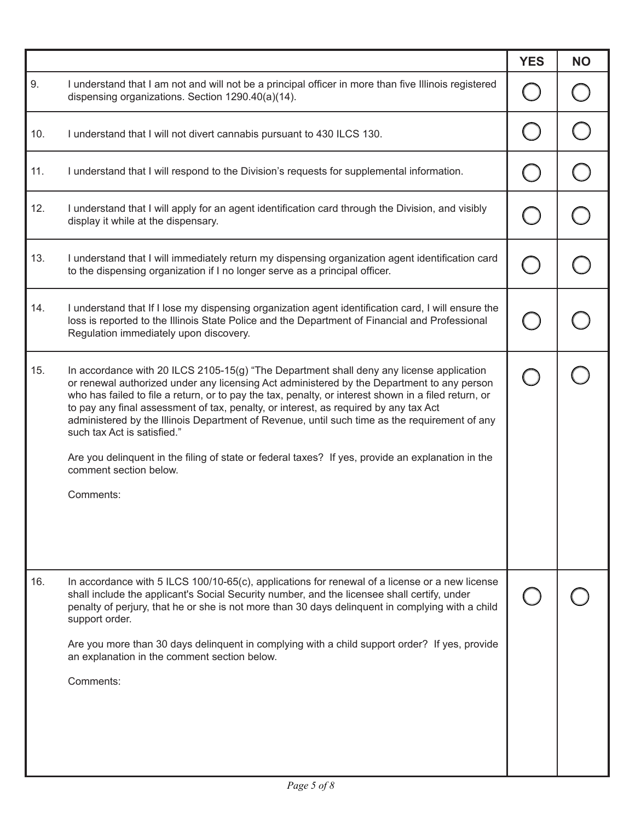|     |                                                                                                                                                                                                                                                                                                                                                                                                                                                                                                                                                                                                                                                                    | <b>YES</b> | <b>NO</b> |
|-----|--------------------------------------------------------------------------------------------------------------------------------------------------------------------------------------------------------------------------------------------------------------------------------------------------------------------------------------------------------------------------------------------------------------------------------------------------------------------------------------------------------------------------------------------------------------------------------------------------------------------------------------------------------------------|------------|-----------|
| 9.  | I understand that I am not and will not be a principal officer in more than five Illinois registered<br>dispensing organizations. Section 1290.40(a)(14).                                                                                                                                                                                                                                                                                                                                                                                                                                                                                                          |            |           |
| 10. | I understand that I will not divert cannabis pursuant to 430 ILCS 130.                                                                                                                                                                                                                                                                                                                                                                                                                                                                                                                                                                                             |            |           |
| 11. | I understand that I will respond to the Division's requests for supplemental information.                                                                                                                                                                                                                                                                                                                                                                                                                                                                                                                                                                          |            |           |
| 12. | I understand that I will apply for an agent identification card through the Division, and visibly<br>display it while at the dispensary.                                                                                                                                                                                                                                                                                                                                                                                                                                                                                                                           |            |           |
| 13. | I understand that I will immediately return my dispensing organization agent identification card<br>to the dispensing organization if I no longer serve as a principal officer.                                                                                                                                                                                                                                                                                                                                                                                                                                                                                    |            |           |
| 14. | I understand that If I lose my dispensing organization agent identification card, I will ensure the<br>loss is reported to the Illinois State Police and the Department of Financial and Professional<br>Regulation immediately upon discovery.                                                                                                                                                                                                                                                                                                                                                                                                                    |            |           |
| 15. | In accordance with 20 ILCS 2105-15(g) "The Department shall deny any license application<br>or renewal authorized under any licensing Act administered by the Department to any person<br>who has failed to file a return, or to pay the tax, penalty, or interest shown in a filed return, or<br>to pay any final assessment of tax, penalty, or interest, as required by any tax Act<br>administered by the Illinois Department of Revenue, until such time as the requirement of any<br>such tax Act is satisfied."<br>Are you delinquent in the filing of state or federal taxes? If yes, provide an explanation in the<br>comment section below.<br>Comments: |            |           |
|     |                                                                                                                                                                                                                                                                                                                                                                                                                                                                                                                                                                                                                                                                    |            |           |
| 16. | In accordance with 5 ILCS 100/10-65(c), applications for renewal of a license or a new license<br>shall include the applicant's Social Security number, and the licensee shall certify, under<br>penalty of perjury, that he or she is not more than 30 days delinguent in complying with a child<br>support order.<br>Are you more than 30 days delinquent in complying with a child support order? If yes, provide<br>an explanation in the comment section below.<br>Comments:                                                                                                                                                                                  |            |           |
|     |                                                                                                                                                                                                                                                                                                                                                                                                                                                                                                                                                                                                                                                                    |            |           |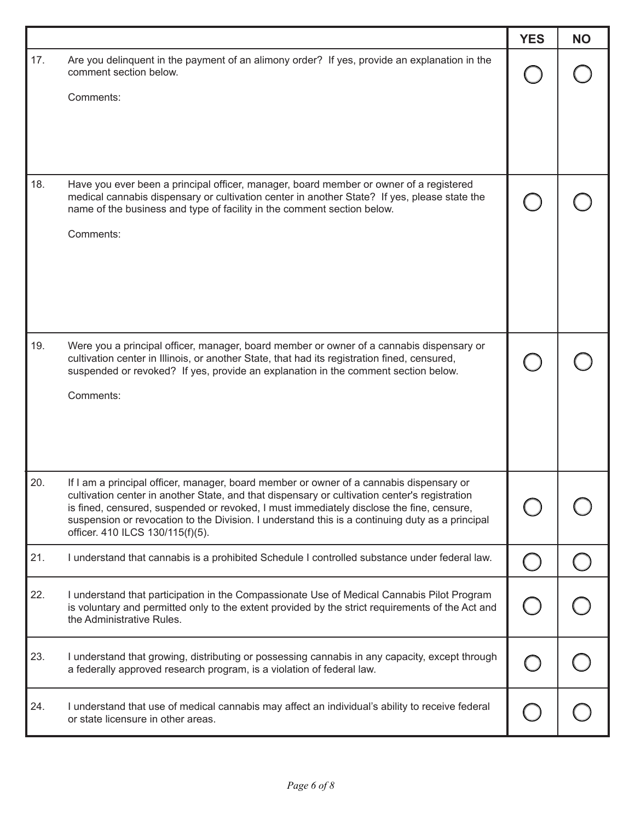|     |                                                                                                                                                                                                                                                                                                                                                                                                                             | <b>YES</b> | <b>NO</b> |
|-----|-----------------------------------------------------------------------------------------------------------------------------------------------------------------------------------------------------------------------------------------------------------------------------------------------------------------------------------------------------------------------------------------------------------------------------|------------|-----------|
| 17. | Are you delinquent in the payment of an alimony order? If yes, provide an explanation in the<br>comment section below.                                                                                                                                                                                                                                                                                                      |            |           |
|     | Comments:                                                                                                                                                                                                                                                                                                                                                                                                                   |            |           |
| 18. | Have you ever been a principal officer, manager, board member or owner of a registered<br>medical cannabis dispensary or cultivation center in another State? If yes, please state the<br>name of the business and type of facility in the comment section below.                                                                                                                                                           |            |           |
|     | Comments:                                                                                                                                                                                                                                                                                                                                                                                                                   |            |           |
| 19. | Were you a principal officer, manager, board member or owner of a cannabis dispensary or<br>cultivation center in Illinois, or another State, that had its registration fined, censured,<br>suspended or revoked? If yes, provide an explanation in the comment section below.<br>Comments:                                                                                                                                 |            |           |
| 20. | If I am a principal officer, manager, board member or owner of a cannabis dispensary or<br>cultivation center in another State, and that dispensary or cultivation center's registration<br>is fined, censured, suspended or revoked, I must immediately disclose the fine, censure,<br>suspension or revocation to the Division. I understand this is a continuing duty as a principal<br>officer. 410 ILCS 130/115(f)(5). |            |           |
| 21. | I understand that cannabis is a prohibited Schedule I controlled substance under federal law.                                                                                                                                                                                                                                                                                                                               |            |           |
| 22. | I understand that participation in the Compassionate Use of Medical Cannabis Pilot Program<br>is voluntary and permitted only to the extent provided by the strict requirements of the Act and<br>the Administrative Rules.                                                                                                                                                                                                 |            |           |
| 23. | I understand that growing, distributing or possessing cannabis in any capacity, except through<br>a federally approved research program, is a violation of federal law.                                                                                                                                                                                                                                                     |            |           |
| 24. | I understand that use of medical cannabis may affect an individual's ability to receive federal<br>or state licensure in other areas.                                                                                                                                                                                                                                                                                       |            |           |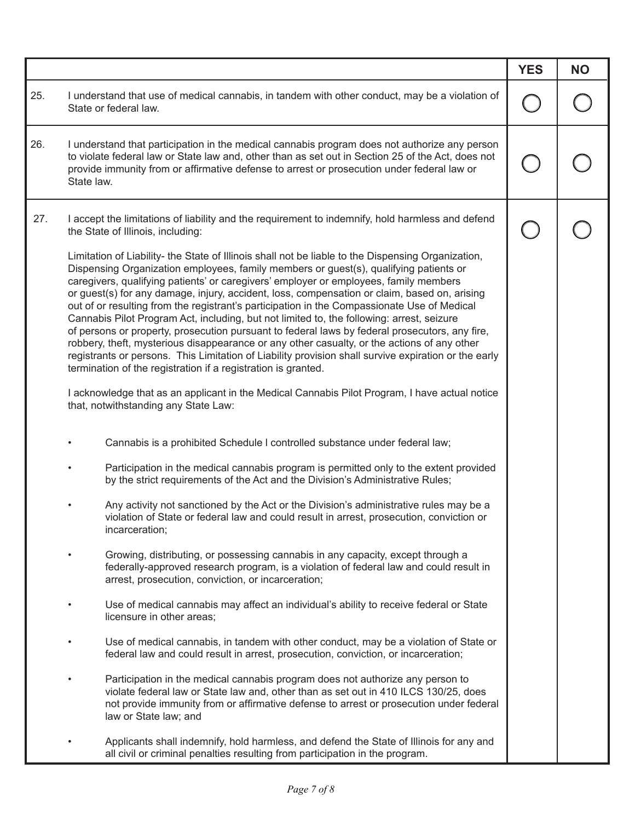|     |                                                                                                                                                                                                                                                                                                                                                                                                                                                                                                                                                                                                                                                                                                                                                                                                                                                                                                                                                            | <b>YES</b> | <b>NO</b> |
|-----|------------------------------------------------------------------------------------------------------------------------------------------------------------------------------------------------------------------------------------------------------------------------------------------------------------------------------------------------------------------------------------------------------------------------------------------------------------------------------------------------------------------------------------------------------------------------------------------------------------------------------------------------------------------------------------------------------------------------------------------------------------------------------------------------------------------------------------------------------------------------------------------------------------------------------------------------------------|------------|-----------|
| 25. | I understand that use of medical cannabis, in tandem with other conduct, may be a violation of<br>State or federal law.                                                                                                                                                                                                                                                                                                                                                                                                                                                                                                                                                                                                                                                                                                                                                                                                                                    |            |           |
| 26. | I understand that participation in the medical cannabis program does not authorize any person<br>to violate federal law or State law and, other than as set out in Section 25 of the Act, does not<br>provide immunity from or affirmative defense to arrest or prosecution under federal law or<br>State law.                                                                                                                                                                                                                                                                                                                                                                                                                                                                                                                                                                                                                                             |            |           |
| 27. | I accept the limitations of liability and the requirement to indemnify, hold harmless and defend<br>the State of Illinois, including:                                                                                                                                                                                                                                                                                                                                                                                                                                                                                                                                                                                                                                                                                                                                                                                                                      |            |           |
|     | Limitation of Liability- the State of Illinois shall not be liable to the Dispensing Organization,<br>Dispensing Organization employees, family members or guest(s), qualifying patients or<br>caregivers, qualifying patients' or caregivers' employer or employees, family members<br>or guest(s) for any damage, injury, accident, loss, compensation or claim, based on, arising<br>out of or resulting from the registrant's participation in the Compassionate Use of Medical<br>Cannabis Pilot Program Act, including, but not limited to, the following: arrest, seizure<br>of persons or property, prosecution pursuant to federal laws by federal prosecutors, any fire,<br>robbery, theft, mysterious disappearance or any other casualty, or the actions of any other<br>registrants or persons. This Limitation of Liability provision shall survive expiration or the early<br>termination of the registration if a registration is granted. |            |           |
|     | I acknowledge that as an applicant in the Medical Cannabis Pilot Program, I have actual notice<br>that, notwithstanding any State Law:                                                                                                                                                                                                                                                                                                                                                                                                                                                                                                                                                                                                                                                                                                                                                                                                                     |            |           |
|     | Cannabis is a prohibited Schedule I controlled substance under federal law;                                                                                                                                                                                                                                                                                                                                                                                                                                                                                                                                                                                                                                                                                                                                                                                                                                                                                |            |           |
|     | Participation in the medical cannabis program is permitted only to the extent provided<br>٠<br>by the strict requirements of the Act and the Division's Administrative Rules;                                                                                                                                                                                                                                                                                                                                                                                                                                                                                                                                                                                                                                                                                                                                                                              |            |           |
|     | Any activity not sanctioned by the Act or the Division's administrative rules may be a<br>violation of State or federal law and could result in arrest, prosecution, conviction or<br>incarceration;                                                                                                                                                                                                                                                                                                                                                                                                                                                                                                                                                                                                                                                                                                                                                       |            |           |
|     | Growing, distributing, or possessing cannabis in any capacity, except through a<br>$\bullet$<br>federally-approved research program, is a violation of federal law and could result in<br>arrest, prosecution, conviction, or incarceration;                                                                                                                                                                                                                                                                                                                                                                                                                                                                                                                                                                                                                                                                                                               |            |           |
|     | Use of medical cannabis may affect an individual's ability to receive federal or State<br>٠<br>licensure in other areas;                                                                                                                                                                                                                                                                                                                                                                                                                                                                                                                                                                                                                                                                                                                                                                                                                                   |            |           |
|     | Use of medical cannabis, in tandem with other conduct, may be a violation of State or<br>٠<br>federal law and could result in arrest, prosecution, conviction, or incarceration;                                                                                                                                                                                                                                                                                                                                                                                                                                                                                                                                                                                                                                                                                                                                                                           |            |           |
|     | Participation in the medical cannabis program does not authorize any person to<br>$\bullet$<br>violate federal law or State law and, other than as set out in 410 ILCS 130/25, does<br>not provide immunity from or affirmative defense to arrest or prosecution under federal<br>law or State law; and                                                                                                                                                                                                                                                                                                                                                                                                                                                                                                                                                                                                                                                    |            |           |
|     | Applicants shall indemnify, hold harmless, and defend the State of Illinois for any and<br>all civil or criminal penalties resulting from participation in the program.                                                                                                                                                                                                                                                                                                                                                                                                                                                                                                                                                                                                                                                                                                                                                                                    |            |           |